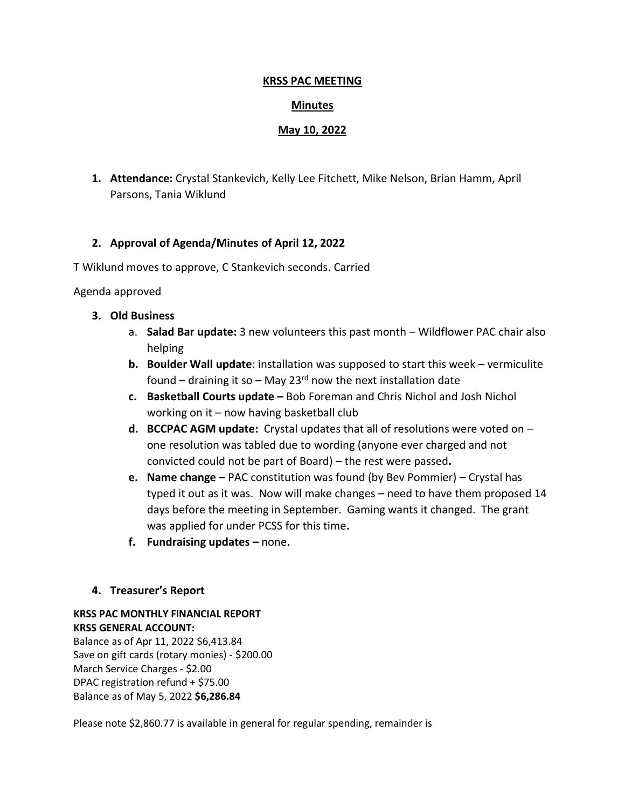#### **KRSS PAC MEETING**

## **Minutes**

## **May 10, 2022**

**1. Attendance:** Crystal Stankevich, Kelly Lee Fitchett, Mike Nelson, Brian Hamm, April Parsons, Tania Wiklund

# **2. Approval of Agenda/Minutes of April 12, 2022**

T Wiklund moves to approve, C Stankevich seconds. Carried

### Agenda approved

- **3. Old Business**
	- a. **Salad Bar update:** 3 new volunteers this past month Wildflower PAC chair also helping
	- **b. Boulder Wall update**: installation was supposed to start this week vermiculite found – draining it so – May 23 $^{rd}$  now the next installation date
	- **c. Basketball Courts update –** Bob Foreman and Chris Nichol and Josh Nichol working on it  $-$  now having basketball club
	- **d. BCCPAC AGM update:** Crystal updates that all of resolutions were voted on one resolution was tabled due to wording (anyone ever charged and not convicted could not be part of Board) – the rest were passed**.**
	- **e. Name change –** PAC constitution was found (by Bev Pommier) Crystal has typed it out as it was. Now will make changes – need to have them proposed 14 days before the meeting in September. Gaming wants it changed. The grant was applied for under PCSS for this time**.**
	- **f. Fundraising updates –** none**.**

### **4. Treasurer's Report**

# **KRSS PAC MONTHLY FINANCIAL REPORT KRSS GENERAL ACCOUNT:**

Balance as of Apr 11, 2022 \$6,413.84 Save on gift cards (rotary monies) ‑ \$200.00 March Service Charges ‑ \$2.00 DPAC registration refund + \$75.00 Balance as of May 5, 2022 **\$6,286.84**

Please note \$2,860.77 is available in general for regular spending, remainder is